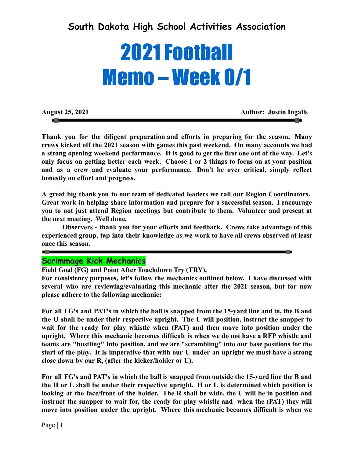# **South Dakota High School Activities Association**

# 2021 Football Memo – Week 0/1

**August 25, 2021 Author: Justin Ingalls**

**Thank you for the diligent preparation and efforts in preparing for the season. Many crews kicked off the 2021 season with games this past weekend. On many accounts we had a strong opening weekend performance. It is good to get the first one out of the way. Let's only focus on getting better each week. Choose 1 or 2 things to focus on at your position and as a crew and evaluate your performance. Don't be over critical, simply reflect honestly on effort and progress.**

**A great big thank you to our team of dedicated leaders we call our Region Coordinators. Great work in helping share information and prepare for a successful season. I encourage you to not just attend Region meetings but contribute to them. Volunteer and present at the next meeting. Well done.**

**Observers - thank you for your efforts and feedback. Crews take advantage of this experienced group, tap into their knowledge as we work to have all crews observed at least once this season.**

## **Scrimmage Kick Mechanics**

**Field Goal (FG) and Point After Touchdown Try (TRY).**

**For consistency purposes, let's follow the mechanics outlined below. I have discussed with several who are reviewing/evaluating this mechanic after the 2021 season, but for now please adhere to the following mechanic:**

**For all FG's and PAT's in which the ball is snapped from the 15-yard line and in, the B and the U shall be under their respective upright. The U will position, instruct the snapper to wait for the ready for play whistle when (PAT) and then move into position under the upright. Where this mechanic becomes difficult is when we do not have a RFP whistle and teams are "hustling" into position, and we are "scrambling" into our base positions for the start of the play. It is imperative that with our U under an upright we must have a strong close down by our R, (after the kicker/holder or U).**

**For all FG's and PAT's in which the ball is snapped from outside the 15-yard line the B and the H or L shall be under their respective upright. H or L is determined which position is looking at the face/front of the holder. The R shall be wide, the U will be in position and instruct the snapper to wait for, the ready for play whistle and when the (PAT) they will move into position under the upright. Where this mechanic becomes difficult is when we**

**COL**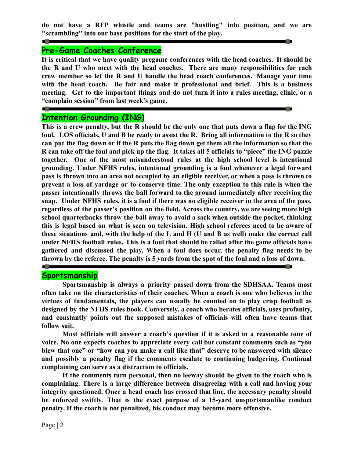**do not have a RFP whistle and teams are "hustling" into position, and we are "scrambling" into our base positions for the start of the play.**

**STATE** 

#### **Pre-Game Coaches Conference**

<u> 1980 - Jan Barat, martin amerikan ba</u>

**STATISTICS** 

**STATISTICS** 

**It is critical that we have quality pregame conferences with the head coaches. It should be the R and U who meet with the head coaches. There are many responsibilities for each crew member so let the R and U handle the head coach conferences. Manage your time with the head coach. Be fair and make it professional and brief. This is a business meeting. Get to the important things and do not turn it into a rules meeting, clinic, or a "complain session" from last week's game.**

#### **Intention Grounding (ING)**

This is a crew penalty, but the R should be the only one that puts down a flag for the ING foul. LOS officials, U and B be ready to assist the R. Bring all information to the R so they can put the flag down or if the R puts the flag down get them all the information so that the R can take off the foul and pick up the flag. It takes all 5 officials to "piece" the ING puzzle **together. One of the most misunderstood rules at the high school level is intentional grounding. Under NFHS rules, intentional grounding is a foul whenever a legal forward** pass is thrown into an area not occupied by an eligible receiver, or when a pass is thrown to **prevent a loss of yardage or to conserve time. The only exception to this rule is when the passer intentionally throws the ball forward to the ground immediately after receiving the** snap. Under NFHS rules, it is a foul if there was no eligible receiver in the area of the pass, **regardless of the passer's position on the field. Across the country, we are seeing more high school quarterbacks throw the ball away to avoid a sack when outside the pocket, thinking this is legal based on what is seen on television. High school referees need to be aware of** these situations and, with the help of the L and H (U and B as well) make the correct call **under NFHS football rules. This is a foul that should be called after the game officials have gathered and discussed the play. When a foul does occur, the penalty flag needs to be thrown by the referee. The penalty is 5 yards from the spot of the foul and a loss of down.**

#### **Sportsmanship**

**Sportsmanship is always a priority passed down from the SDHSAA. Teams most often take on the characteristics of their coaches. When a coach is one who believes in the virtues of fundamentals, the players can usually be counted on to play crisp football as designed by the NFHS rules book. Conversely, a coach who berates officials, uses profanity, and constantly points out the supposed mistakes of officials will often have teams that follow suit.**

**Most officials will answer a coach's question if it is asked in a reasonable tone of voice. No one expects coaches to appreciate every call but constant comments such as "you blew that one" or "how can you make a call like that" deserve to be answered with silence and possibly a penalty flag if the comments escalate to continuing badgering. Continual complaining can serve as a distraction to officials.**

**If the comments turn personal, then no leeway should be given to the coach who is complaining. There is a large difference between disagreeing with a call and having your integrity questioned. Once a head coach has crossed that line, the necessary penalty should be enforced swiftly. That is the exact purpose of a 15-yard unsportsmanlike conduct penalty. If the coach is not penalized, his conduct may become more offensive.**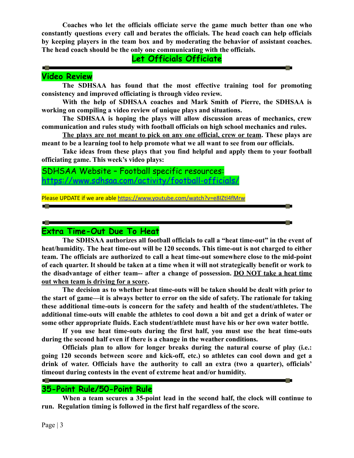**Coaches who let the officials officiate serve the game much better than one who constantly questions every call and berates the officials. The head coach can help officials by keeping players in the team box and by moderating the behavior of assistant coaches. The head coach should be the only one communicating with the officials.**

# **Let Officials Officiate**

#### **Professional Professional Professional Profession Video Review**

**The SDHSAA has found that the most effective training tool for promoting consistency and improved officiating is through video review.**

**With the help of SDHSAA coaches and Mark Smith of Pierre, the SDHSAA is working on compiling a video review of unique plays and situations.**

**The SDHSAA is hoping the plays will allow discussion areas of mechanics, crew communication and rules study with football officials on high school mechanics and rules.**

**The plays are not meant to pick on any one official, crew or team. These plays are meant to be a learning tool to help promote what we all want to see from our officials.**

**Take ideas from these plays that you find helpful and apply them to your football officiating game. This week's video plays:**

SDHSAA Website – Football specific resources: <https://www.sdhsaa.com/activity/football-officials/>

Please UPDATE if we are able <https://www.youtube.com/watch?v=e8IZtl4fMrw>

#### **Extra Time-Out Due To Heat**

**The SDHSAA authorizes all football officials to call a "heat time-out" in the event of heat/humidity. The heat time-out will be 120 seconds. This time-out is not charged to either team. The officials are authorized to call a heat time-out somewhere close to the mid-point** of each quarter. It should be taken at a time when it will not strategically benefit or work to **the disadvantage of either team-- after a change of possession. DO NOT take a heat time out when team is driving for a score.**

**The decision as to whether heat time-outs will be taken should be dealt with prior to the start of game—it is always better to error on the side of safety. The rationale for taking these additional time-outs is concern for the safety and health of the student/athletes. The additional time-outs will enable the athletes to cool down a bit and get a drink of water or some other appropriate fluids. Each student/athlete must have his or her own water bottle.**

**If you use heat time-outs during the first half, you must use the heat time-outs during the second half even if there is a change in the weather conditions.**

**Officials plan to allow for longer breaks during the natural course of play (i.e.: going 120 seconds between score and kick-off, etc.) so athletes can cool down and get a drink of water. Officials have the authority to call an extra (two a quarter), officials' timeout during contests in the event of extreme heat and/or humidity.**

## **35-Point Rule/50-Point Rule**

**When a team secures a 35-point lead in the second half, the clock will continue to run. Regulation timing is followed in the first half regardless of the score.**

**STATISTICS**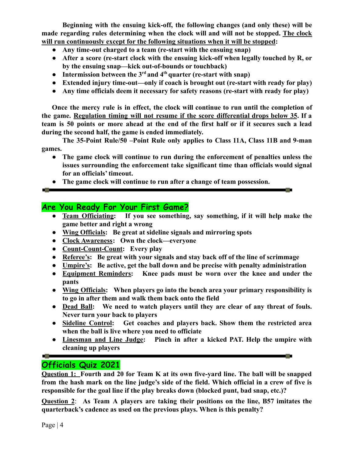**Beginning with the ensuing kick-off, the following changes (and only these) will be made regarding rules determining when the clock will and will not be stopped. The clock will run continuously except for the following situations when it will be stopped:**

- **Any time-out charged to a team (re-start with the ensuing snap)**
- **After a score (re-start clock with the ensuing kick-off when legally touched by R, or by the ensuing snap—kick out-of-bounds or touchback)**
- **Intermission between the 3rd and 4th quarter (re-start with snap)**
- **Extended injury time-out—only if coach is brought out (re-start with ready for play)**
- **Any time officials deem it necessary for safety reasons (re-start with ready for play)**

**Once the mercy rule is in effect, the clock will continue to run until the completion of the game. Regulation timing will not resume if the score differential drops below 35. If a** team is 50 points or more ahead at the end of the first half or if it secures such a lead **during the second half, the game is ended immediately.**

**The 35-Point Rule/50 –Point Rule only applies to Class 11A, Class 11B and 9-man games.**

- **The game clock will continue to run during the enforcement of penalties unless the issues surrounding the enforcement take significant time than officials would signal for an officials' timeout.**
- **The game clock will continue to run after a change of team possession.**

## **Are You Ready For Your First Game?**

- **Team Officiating: If you see something, say something, if it will help make the game better and right a wrong**
- **Wing Officials: Be great at sideline signals and mirroring spots**
- **Clock Awareness: Own the clock—everyone**
- **Count-Count-Count: Every play**
- **Referee's: Be great with your signals and stay back off of the line of scrimmage**
- **Umpire's: Be active, get the ball down and be precise with penalty administration**
- **Equipment Reminders: Knee pads must be worn over the knee and under the pants**
- **Wing Officials: When players go into the bench area your primary responsibility is to go in after them and walk them back onto the field**
- **Dead Ball: We need to watch players until they are clear of any threat of fouls. Never turn your back to players**
- **Sideline Control: Get coaches and players back. Show them the restricted area when the ball is live where you need to officiate**
- **Linesman and Line Judge: Pinch in after a kicked PAT. Help the umpire with cleaning up players**

and the

# **Officials Quiz 2021**

**Question 1: Fourth and 20 for Team K at its own five-yard line. The ball will be snapped** from the hash mark on the line judge's side of the field. Which official in a crew of five is **responsible for the goal line if the play breaks down (blocked punt, bad snap, etc.)?**

**Question 2**: **As Team A players are taking their positions on the line, B57 imitates the quarterback's cadence as used on the previous plays. When is this penalty?**

a bilan da

**Contractor**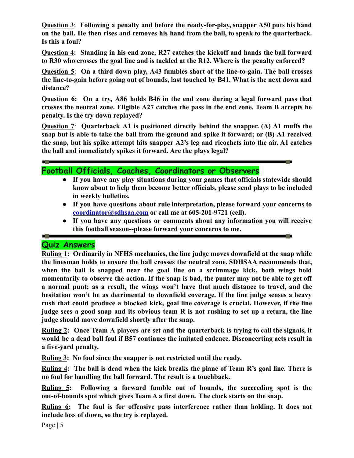**Question 3**: **Following a penalty and before the ready-for-play, snapper A50 puts his hand on the ball. He then rises and removes his hand from the ball, to speak to the quarterback. Is this a foul?**

**Question 4: Standing in his end zone, R27 catches the kickoff and hands the ball forward to R30 who crosses the goal line and is tackled at the R12. Where is the penalty enforced?**

**Question 5**: **On a third down play, A43 fumbles short of the line-to-gain. The ball crosses the line-to-gain before going out of bounds, last touched by B41. What is the next down and distance?**

**Question 6: On a try, A86 holds B46 in the end zone during a legal forward pass that crosses the neutral zone. Eligible A27 catches the pass in the end zone. Team B accepts he penalty. Is the try down replayed?**

**Question 7**: **Quarterback A1 is positioned directly behind the snapper. (A) A1 muffs the snap but is able to take the ball from the ground and spike it forward; or (B) A1 received the snap, but his spike attempt hits snapper A2's leg and ricochets into the air. A1 catches the ball and immediately spikes it forward. Are the plays legal?**

**Football Officials, Coaches, Coordinators or Observers**

● **If you have any play situations during your games that officials statewide should know about to help them become better officials, please send plays to be included in weekly bulletins.**

**Signal** 

- **If you have questions about rule interpretation, please forward your concerns to [coordinator@sdhsaa.com](mailto:coordinator@sdhsaa.com) or call me at 605-201-9721 (cell).**
- **If you have any questions or comments about any information you will receive this football season--please forward your concerns to me.**

## **Quiz Answers**

**COL** 

**Ruling 1: Ordinarily in NFHS mechanics, the line judge moves downfield at the snap while the linesman holds to ensure the ball crosses the neutral zone. SDHSAA recommends that, when the ball is snapped near the goal line on a scrimmage kick, both wings hold** momentarily to observe the action. If the snap is bad, the punter may not be able to get off **a normal punt; as a result, the wings won't have that much distance to travel, and the hesitation won't be as detrimental to downfield coverage. If the line judge senses a heavy rush that could produce a blocked kick, goal line coverage is crucial. However, if the line** judge sees a good snap and its obvious team R is not rushing to set up a return, the line **judge should move downfield shortly after the snap.**

**Ruling 2: Once Team A players are set and the quarterback is trying to call the signals, it would be a dead ball foul if B57 continues the imitated cadence. Disconcerting acts result in a five-yard penalty.**

**Ruling 3: No foul since the snapper is not restricted until the ready.**

**Ruling 4: The ball is dead when the kick breaks the plane of Team R's goal line. There is no foul for handling the ball forward. The result is a touchback.**

**Ruling 5: Following a forward fumble out of bounds, the succeeding spot is the out-of-bounds spot which gives Team A a first down. The clock starts on the snap.**

**Ruling 6: The foul is for offensive pass interference rather than holding. It does not include loss of down, so the try is replayed.**

Page | 5